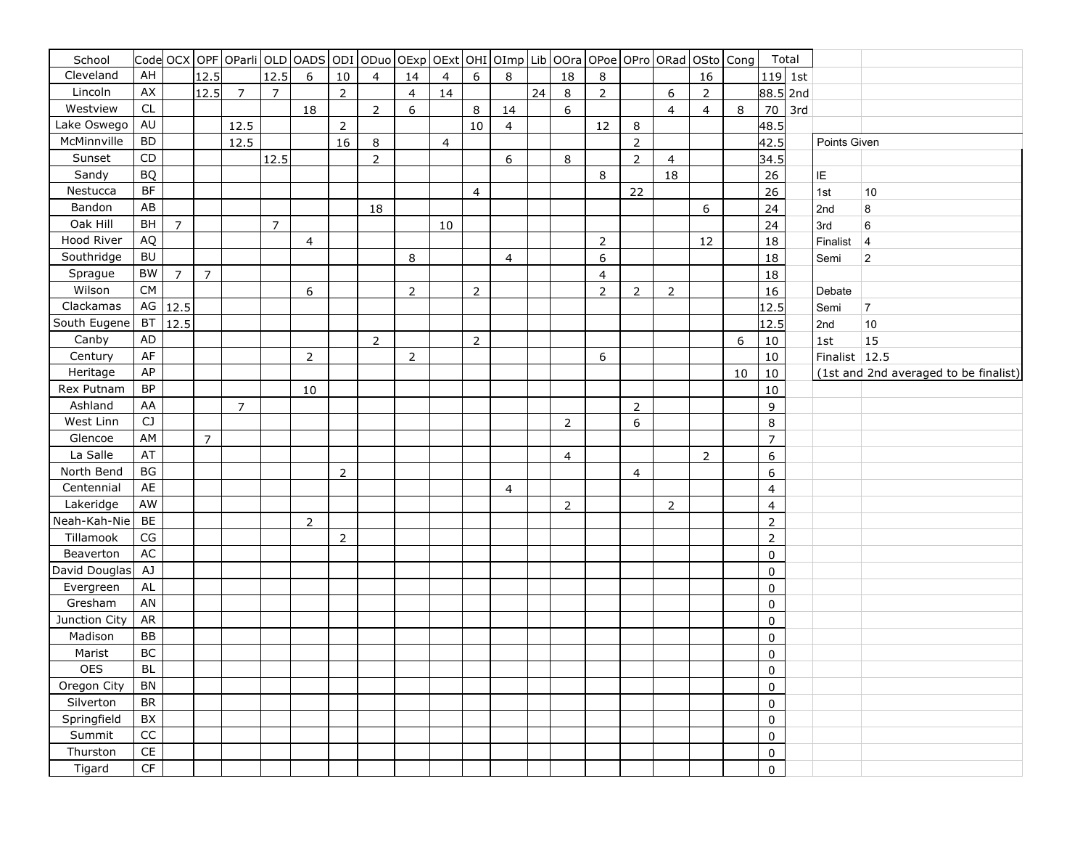| School        |                 |                |                | Code  OCX   OPF   OParli   OLD   OADS   ODI   ODuo   OExp   OExt   OHI   OImp   Lib   OOra   OPoe   OPro   ORad   OSto   Cong |                |                |                |                         |                |    |                |    |    |                |                         |                  |                |                |    |                | Total   |               |                                       |
|---------------|-----------------|----------------|----------------|-------------------------------------------------------------------------------------------------------------------------------|----------------|----------------|----------------|-------------------------|----------------|----|----------------|----|----|----------------|-------------------------|------------------|----------------|----------------|----|----------------|---------|---------------|---------------------------------------|
| Cleveland     | AH              |                | 12.5           |                                                                                                                               | 12.5           | 6              | 10             | $\overline{\mathbf{4}}$ | 14             | 4  | 6              | 8  |    | 18             | 8                       |                  |                | 16             |    |                | 119 1st |               |                                       |
| Lincoln       | AX              |                | 12.5           | $\overline{7}$                                                                                                                | $\overline{7}$ |                | $\overline{2}$ |                         | $\overline{4}$ | 14 |                |    | 24 | 8              | $\overline{2}$          |                  | 6              | $\overline{2}$ |    | 88.5 2nd       |         |               |                                       |
| Westview      | CL              |                |                |                                                                                                                               |                | 18             |                | $\mathsf{2}\,$          | 6              |    | 8              | 14 |    | 6              |                         |                  | $\overline{4}$ | $\overline{4}$ | 8  | 70             | 3rd     |               |                                       |
| Lake Oswego   | AU              |                |                | 12.5                                                                                                                          |                |                | $\mathbf 2$    |                         |                |    | 10             | 4  |    |                | 12                      | $\,8\,$          |                |                |    | 48.5           |         |               |                                       |
| McMinnville   | <b>BD</b>       |                |                | 12.5                                                                                                                          |                |                | 16             | $\,8\,$                 |                | 4  |                |    |    |                |                         | $\mathsf{2}\,$   |                |                |    | 42.5           |         | Points Given  |                                       |
| Sunset        | CD              |                |                |                                                                                                                               | 12.5           |                |                | $\mathbf 2$             |                |    |                | 6  |    | 8              |                         | $\overline{2}$   | 4              |                |    | 34.5           |         |               |                                       |
| Sandy         | <b>BQ</b>       |                |                |                                                                                                                               |                |                |                |                         |                |    |                |    |    |                | 8                       |                  | 18             |                |    | 26             |         | IE            |                                       |
| Nestucca      | BF              |                |                |                                                                                                                               |                |                |                |                         |                |    | $\overline{4}$ |    |    |                |                         | 22               |                |                |    | 26             |         | 1st           | $10$                                  |
| Bandon        | AB              |                |                |                                                                                                                               |                |                |                | 18                      |                |    |                |    |    |                |                         |                  |                | 6              |    | 24             |         | 2nd           | $\bf 8$                               |
| Oak Hill      | <b>BH</b>       | $\overline{7}$ |                |                                                                                                                               | $\overline{7}$ |                |                |                         |                | 10 |                |    |    |                |                         |                  |                |                |    | 24             |         | 3rd           | $\,6\,$                               |
| Hood River    | AQ              |                |                |                                                                                                                               |                | 4              |                |                         |                |    |                |    |    |                | $\mathbf 2$             |                  |                | 12             |    | 18             |         | Finalist      | $\overline{4}$                        |
| Southridge    | <b>BU</b>       |                |                |                                                                                                                               |                |                |                |                         | 8              |    |                | 4  |    |                | 6                       |                  |                |                |    | 18             |         | Semi          | $\boldsymbol{2}$                      |
| Sprague       | <b>BW</b>       | $\overline{7}$ | $\overline{7}$ |                                                                                                                               |                |                |                |                         |                |    |                |    |    |                | $\overline{\mathbf{4}}$ |                  |                |                |    | 18             |         |               |                                       |
| Wilson        | <b>CM</b>       |                |                |                                                                                                                               |                | 6              |                |                         | $\mathbf 2$    |    | $\overline{2}$ |    |    |                | $\overline{2}$          | $\mathbf 2$      | 2              |                |    | 16             |         | Debate        |                                       |
| Clackamas     | $\mathsf{AG}$   | 12.5           |                |                                                                                                                               |                |                |                |                         |                |    |                |    |    |                |                         |                  |                |                |    | 12.5           |         | Semi          | $\overline{7}$                        |
| South Eugene  | <b>BT</b>       | 12.5           |                |                                                                                                                               |                |                |                |                         |                |    |                |    |    |                |                         |                  |                |                |    | 12.5           |         | 2nd           | 10                                    |
| Canby         | <b>AD</b>       |                |                |                                                                                                                               |                |                |                | $\mathsf{2}\,$          |                |    | $\overline{2}$ |    |    |                |                         |                  |                |                | 6  | 10             |         | 1st           | 15                                    |
| Century       | <b>AF</b>       |                |                |                                                                                                                               |                | $\overline{2}$ |                |                         | $\mathbf 2$    |    |                |    |    |                | 6                       |                  |                |                |    | 10             |         | Finalist 12.5 |                                       |
| Heritage      | AP              |                |                |                                                                                                                               |                |                |                |                         |                |    |                |    |    |                |                         |                  |                |                | 10 | 10             |         |               | (1st and 2nd averaged to be finalist) |
| Rex Putnam    | <b>BP</b>       |                |                |                                                                                                                               |                | 10             |                |                         |                |    |                |    |    |                |                         |                  |                |                |    | 10             |         |               |                                       |
| Ashland       | AA              |                |                | $\overline{7}$                                                                                                                |                |                |                |                         |                |    |                |    |    |                |                         | $\mathbf 2$      |                |                |    | 9              |         |               |                                       |
| West Linn     | CJ              |                |                |                                                                                                                               |                |                |                |                         |                |    |                |    |    | $\overline{2}$ |                         | $\boldsymbol{6}$ |                |                |    | 8              |         |               |                                       |
| Glencoe       | <b>AM</b>       |                | $\overline{7}$ |                                                                                                                               |                |                |                |                         |                |    |                |    |    |                |                         |                  |                |                |    | $\overline{7}$ |         |               |                                       |
| La Salle      | AT              |                |                |                                                                                                                               |                |                |                |                         |                |    |                |    |    | 4              |                         |                  |                | $\overline{2}$ |    | 6              |         |               |                                       |
| North Bend    | BG              |                |                |                                                                                                                               |                |                | $\mathbf 2$    |                         |                |    |                |    |    |                |                         | 4                |                |                |    | 6              |         |               |                                       |
| Centennial    | <b>AE</b>       |                |                |                                                                                                                               |                |                |                |                         |                |    |                | 4  |    |                |                         |                  |                |                |    | 4              |         |               |                                       |
| Lakeridge     | AW              |                |                |                                                                                                                               |                |                |                |                         |                |    |                |    |    | $\overline{2}$ |                         |                  | $\overline{2}$ |                |    | 4              |         |               |                                       |
| Neah-Kah-Nie  | <b>BE</b>       |                |                |                                                                                                                               |                | $\overline{2}$ |                |                         |                |    |                |    |    |                |                         |                  |                |                |    | $\mathbf 2$    |         |               |                                       |
| Tillamook     | CG              |                |                |                                                                                                                               |                |                | $\mathbf 2$    |                         |                |    |                |    |    |                |                         |                  |                |                |    | $\mathbf 2$    |         |               |                                       |
| Beaverton     | AC              |                |                |                                                                                                                               |                |                |                |                         |                |    |                |    |    |                |                         |                  |                |                |    | $\pmb{0}$      |         |               |                                       |
| David Douglas | AJ              |                |                |                                                                                                                               |                |                |                |                         |                |    |                |    |    |                |                         |                  |                |                |    | $\pmb{0}$      |         |               |                                       |
| Evergreen     | ${\sf AL}$      |                |                |                                                                                                                               |                |                |                |                         |                |    |                |    |    |                |                         |                  |                |                |    | 0              |         |               |                                       |
| Gresham       | <b>AN</b>       |                |                |                                                                                                                               |                |                |                |                         |                |    |                |    |    |                |                         |                  |                |                |    | 0              |         |               |                                       |
| Junction City | <b>AR</b>       |                |                |                                                                                                                               |                |                |                |                         |                |    |                |    |    |                |                         |                  |                |                |    | $\pmb{0}$      |         |               |                                       |
| Madison       | <b>BB</b>       |                |                |                                                                                                                               |                |                |                |                         |                |    |                |    |    |                |                         |                  |                |                |    | 0              |         |               |                                       |
| Marist        | BC              |                |                |                                                                                                                               |                |                |                |                         |                |    |                |    |    |                |                         |                  |                |                |    | $\pmb{0}$      |         |               |                                       |
| <b>OES</b>    | BL              |                |                |                                                                                                                               |                |                |                |                         |                |    |                |    |    |                |                         |                  |                |                |    | 0              |         |               |                                       |
| Oregon City   | <b>BN</b>       |                |                |                                                                                                                               |                |                |                |                         |                |    |                |    |    |                |                         |                  |                |                |    | $\pmb{0}$      |         |               |                                       |
| Silverton     | <b>BR</b>       |                |                |                                                                                                                               |                |                |                |                         |                |    |                |    |    |                |                         |                  |                |                |    | $\pmb{0}$      |         |               |                                       |
| Springfield   | BX              |                |                |                                                                                                                               |                |                |                |                         |                |    |                |    |    |                |                         |                  |                |                |    | 0              |         |               |                                       |
| Summit        | $\overline{cc}$ |                |                |                                                                                                                               |                |                |                |                         |                |    |                |    |    |                |                         |                  |                |                |    | 0              |         |               |                                       |
| Thurston      | CE              |                |                |                                                                                                                               |                |                |                |                         |                |    |                |    |    |                |                         |                  |                |                |    | 0              |         |               |                                       |
| Tigard        | CF              |                |                |                                                                                                                               |                |                |                |                         |                |    |                |    |    |                |                         |                  |                |                |    | 0              |         |               |                                       |